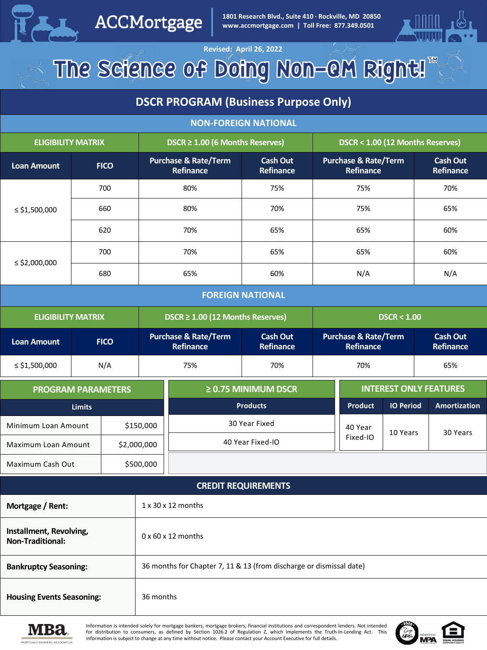

ACCMortgage

**1801 Research Blvd., Suite 410 · Rockville, MD 20850 www.accmortgage.com | Toll Free: 877.349.0501**



#### **Revised: April 26, 2022** The Science of Doing Non-OM Right!"

#### **DSCR PROGRAM (Business Purpose Only)**

| <b>NON-FOREIGN NATIONAL</b>                        |             |             |                                                                     |                                              |                              |                                              |                                              |                              |     |                              |
|----------------------------------------------------|-------------|-------------|---------------------------------------------------------------------|----------------------------------------------|------------------------------|----------------------------------------------|----------------------------------------------|------------------------------|-----|------------------------------|
| <b>ELIGIBILITY MATRIX</b>                          |             |             | DSCR $\geq$ 1.00 (6 Months Reserves)                                |                                              |                              | DSCR < 1.00 (12 Months Reserves)             |                                              |                              |     |                              |
| <b>Loan Amount</b>                                 | <b>FICO</b> |             | Purchase & Rate/Term<br>Refinance                                   |                                              | <b>Cash Out</b><br>Refinance | <b>Purchase &amp; Rate/Term</b><br>Refinance |                                              | <b>Cash Out</b><br>Refinance |     |                              |
|                                                    | 700         |             | 80%                                                                 |                                              | 75%                          | 75%                                          |                                              |                              |     | 70%                          |
| $\le$ \$1,500,000                                  | 660         |             | 80%                                                                 |                                              | 70%                          | 75%                                          |                                              |                              | 65% |                              |
|                                                    | 620         |             | 70%                                                                 |                                              | 65%                          | 65%                                          |                                              |                              | 60% |                              |
|                                                    | 700         |             | 70%                                                                 |                                              | 65%                          | 65%                                          |                                              |                              |     | 60%                          |
| $\le$ \$2,000,000                                  | 680         |             | 65%                                                                 |                                              | 60%                          | N/A                                          |                                              |                              |     | N/A                          |
|                                                    |             |             |                                                                     |                                              | <b>FOREIGN NATIONAL</b>      |                                              |                                              |                              |     |                              |
| <b>ELIGIBILITY MATRIX</b>                          |             |             | DSCR $\geq$ 1.00 (12 Months Reserves)                               |                                              |                              | DSCR < 1.00                                  |                                              |                              |     |                              |
| <b>Loan Amount</b>                                 |             | <b>FICO</b> |                                                                     | <b>Purchase &amp; Rate/Term</b><br>Refinance | <b>Cash Out</b><br>Refinance |                                              | <b>Purchase &amp; Rate/Term</b><br>Refinance |                              |     | <b>Cash Out</b><br>Refinance |
| $\le$ \$1,500,000                                  | N/A         |             |                                                                     | 75%                                          | 70%                          | 70%                                          |                                              |                              |     | 65%                          |
| <b>PROGRAM PARAMETERS</b>                          |             |             |                                                                     | $\geq$ 0.75 MINIMUM DSCR                     |                              |                                              | <b>INTEREST ONLY FEATURES</b>                |                              |     |                              |
| <b>Limits</b>                                      |             |             |                                                                     | <b>Products</b>                              |                              |                                              | <b>Product</b>                               | <b>IO Period</b>             |     | <b>Amortization</b>          |
| Minimum Loan Amount                                |             |             | \$150,000                                                           | 30 Year Fixed                                |                              |                                              | 40 Year                                      | 10 Years                     |     | 30 Years                     |
| Maximum Loan Amount                                |             |             | \$2,000,000                                                         | 40 Year Fixed-IO                             |                              |                                              | Fixed-IO                                     |                              |     |                              |
| Maximum Cash Out                                   |             |             | \$500,000                                                           |                                              |                              |                                              |                                              |                              |     |                              |
| <b>CREDIT REQUIREMENTS</b>                         |             |             |                                                                     |                                              |                              |                                              |                                              |                              |     |                              |
| Mortgage / Rent:                                   |             |             | $1 \times 30 \times 12$ months                                      |                                              |                              |                                              |                                              |                              |     |                              |
| Installment, Revolving,<br><b>Non-Traditional:</b> |             |             | $0 \times 60 \times 12$ months                                      |                                              |                              |                                              |                                              |                              |     |                              |
| <b>Bankruptcy Seasoning:</b>                       |             |             | 36 months for Chapter 7, 11 & 13 (from discharge or dismissal date) |                                              |                              |                                              |                                              |                              |     |                              |
| <b>Housing Events Seasoning:</b>                   |             |             | 36 months                                                           |                                              |                              |                                              |                                              |                              |     |                              |



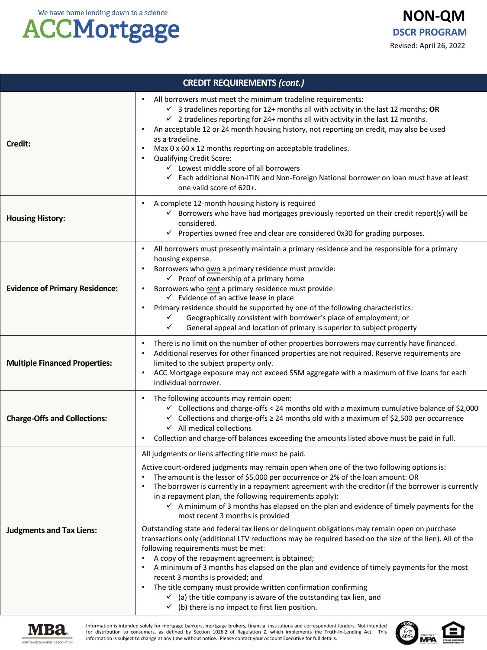# **ACCMortgage**

| <b>CREDIT REQUIREMENTS (cont.)</b>    |                                                                                                                                                                                                                                                                                                                                                                                                                                                                                                                                                                                                                                                                                                                                                                                                                                                                                                                                                                                                                                                                                                                                                                                                                     |  |  |
|---------------------------------------|---------------------------------------------------------------------------------------------------------------------------------------------------------------------------------------------------------------------------------------------------------------------------------------------------------------------------------------------------------------------------------------------------------------------------------------------------------------------------------------------------------------------------------------------------------------------------------------------------------------------------------------------------------------------------------------------------------------------------------------------------------------------------------------------------------------------------------------------------------------------------------------------------------------------------------------------------------------------------------------------------------------------------------------------------------------------------------------------------------------------------------------------------------------------------------------------------------------------|--|--|
| Credit:                               | All borrowers must meet the minimum tradeline requirements:<br>$\checkmark$ 3 tradelines reporting for 12+ months all with activity in the last 12 months; OR<br>$\checkmark$ 2 tradelines reporting for 24+ months all with activity in the last 12 months.<br>An acceptable 12 or 24 month housing history, not reporting on credit, may also be used<br>as a tradeline.<br>Max 0 x 60 x 12 months reporting on acceptable tradelines.<br>Qualifying Credit Score:<br>$\checkmark$ Lowest middle score of all borrowers<br>✓ Each additional Non-ITIN and Non-Foreign National borrower on loan must have at least<br>one valid score of 620+.                                                                                                                                                                                                                                                                                                                                                                                                                                                                                                                                                                    |  |  |
| <b>Housing History:</b>               | A complete 12-month housing history is required<br>$\checkmark$ Borrowers who have had mortgages previously reported on their credit report(s) will be<br>considered.<br>$\checkmark$ Properties owned free and clear are considered 0x30 for grading purposes.                                                                                                                                                                                                                                                                                                                                                                                                                                                                                                                                                                                                                                                                                                                                                                                                                                                                                                                                                     |  |  |
| <b>Evidence of Primary Residence:</b> | All borrowers must presently maintain a primary residence and be responsible for a primary<br>housing expense.<br>Borrowers who own a primary residence must provide:<br>$\checkmark$ Proof of ownership of a primary home<br>Borrowers who rent a primary residence must provide:<br>$\checkmark$ Evidence of an active lease in place<br>Primary residence should be supported by one of the following characteristics:<br>$\bullet$<br>Geographically consistent with borrower's place of employment; or<br>✓<br>✓<br>General appeal and location of primary is superior to subject property                                                                                                                                                                                                                                                                                                                                                                                                                                                                                                                                                                                                                     |  |  |
| <b>Multiple Financed Properties:</b>  | There is no limit on the number of other properties borrowers may currently have financed.<br>Additional reserves for other financed properties are not required. Reserve requirements are<br>limited to the subject property only.<br>ACC Mortgage exposure may not exceed \$5M aggregate with a maximum of five loans for each<br>individual borrower.                                                                                                                                                                                                                                                                                                                                                                                                                                                                                                                                                                                                                                                                                                                                                                                                                                                            |  |  |
| <b>Charge-Offs and Collections:</b>   | The following accounts may remain open:<br>$\checkmark$ Collections and charge-offs < 24 months old with a maximum cumulative balance of \$2,000<br>$\checkmark$ Collections and charge-offs $\geq$ 24 months old with a maximum of \$2,500 per occurrence<br>$\checkmark$ All medical collections<br>Collection and charge-off balances exceeding the amounts listed above must be paid in full.                                                                                                                                                                                                                                                                                                                                                                                                                                                                                                                                                                                                                                                                                                                                                                                                                   |  |  |
| <b>Judgments and Tax Liens:</b>       | All judgments or liens affecting title must be paid.<br>Active court-ordered judgments may remain open when one of the two following options is:<br>The amount is the lessor of \$5,000 per occurrence or 2% of the loan amount: OR<br>The borrower is currently in a repayment agreement with the creditor (if the borrower is currently<br>in a repayment plan, the following requirements apply):<br>$\checkmark$ A minimum of 3 months has elapsed on the plan and evidence of timely payments for the<br>most recent 3 months is provided<br>Outstanding state and federal tax liens or delinquent obligations may remain open on purchase<br>transactions only (additional LTV reductions may be required based on the size of the lien). All of the<br>following requirements must be met:<br>A copy of the repayment agreement is obtained;<br>A minimum of 3 months has elapsed on the plan and evidence of timely payments for the most<br>recent 3 months is provided; and<br>The title company must provide written confirmation confirming<br>$\bullet$<br>$\checkmark$ (a) the title company is aware of the outstanding tax lien, and<br>$\checkmark$ (b) there is no impact to first lien position. |  |  |



Information is intended solely for mortgage bankers, mortgage brokers, financial institutions and correspondent lenders. Not intended<br>for distribution to consumers, as defined by Section 1026.2 of Regulation Z, which imple information is subject to change at any time without notice. Please contact your Account Executive for full details.

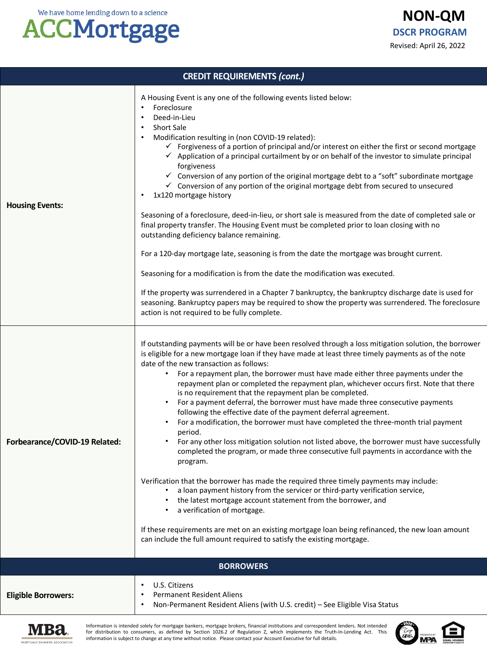# **ACCMortgage**

**NON-QM** Revised: April 26, 2022 **DSCR PROGRAM**

| <b>CREDIT REQUIREMENTS (cont.)</b> |                                                                                                                                                                                                                                                                                                                                                                                                                                                                                                                                                                                                                                                                                                                                                                                                                                                                                                                                                                                                                                                                                                                                                                                                                                                                                                                                                                                                                                      |  |  |
|------------------------------------|--------------------------------------------------------------------------------------------------------------------------------------------------------------------------------------------------------------------------------------------------------------------------------------------------------------------------------------------------------------------------------------------------------------------------------------------------------------------------------------------------------------------------------------------------------------------------------------------------------------------------------------------------------------------------------------------------------------------------------------------------------------------------------------------------------------------------------------------------------------------------------------------------------------------------------------------------------------------------------------------------------------------------------------------------------------------------------------------------------------------------------------------------------------------------------------------------------------------------------------------------------------------------------------------------------------------------------------------------------------------------------------------------------------------------------------|--|--|
| <b>Housing Events:</b>             | A Housing Event is any one of the following events listed below:<br>Foreclosure<br>Deed-in-Lieu<br>٠<br><b>Short Sale</b><br>$\bullet$<br>Modification resulting in (non COVID-19 related):<br>$\checkmark$ Forgiveness of a portion of principal and/or interest on either the first or second mortgage<br>$\checkmark$ Application of a principal curtailment by or on behalf of the investor to simulate principal<br>forgiveness<br>$\checkmark$ Conversion of any portion of the original mortgage debt to a "soft" subordinate mortgage<br>$\checkmark$ Conversion of any portion of the original mortgage debt from secured to unsecured<br>1x120 mortgage history<br>Seasoning of a foreclosure, deed-in-lieu, or short sale is measured from the date of completed sale or<br>final property transfer. The Housing Event must be completed prior to loan closing with no<br>outstanding deficiency balance remaining.<br>For a 120-day mortgage late, seasoning is from the date the mortgage was brought current.<br>Seasoning for a modification is from the date the modification was executed.<br>If the property was surrendered in a Chapter 7 bankruptcy, the bankruptcy discharge date is used for<br>seasoning. Bankruptcy papers may be required to show the property was surrendered. The foreclosure<br>action is not required to be fully complete.                                                            |  |  |
| Forbearance/COVID-19 Related:      | If outstanding payments will be or have been resolved through a loss mitigation solution, the borrower<br>is eligible for a new mortgage loan if they have made at least three timely payments as of the note<br>date of the new transaction as follows:<br>For a repayment plan, the borrower must have made either three payments under the<br>repayment plan or completed the repayment plan, whichever occurs first. Note that there<br>is no requirement that the repayment plan be completed.<br>For a payment deferral, the borrower must have made three consecutive payments<br>following the effective date of the payment deferral agreement.<br>For a modification, the borrower must have completed the three-month trial payment<br>period.<br>For any other loss mitigation solution not listed above, the borrower must have successfully<br>$\bullet$<br>completed the program, or made three consecutive full payments in accordance with the<br>program.<br>Verification that the borrower has made the required three timely payments may include:<br>a loan payment history from the servicer or third-party verification service,<br>the latest mortgage account statement from the borrower, and<br>a verification of mortgage.<br>If these requirements are met on an existing mortgage loan being refinanced, the new loan amount<br>can include the full amount required to satisfy the existing mortgage. |  |  |
|                                    | <b>BORROWERS</b>                                                                                                                                                                                                                                                                                                                                                                                                                                                                                                                                                                                                                                                                                                                                                                                                                                                                                                                                                                                                                                                                                                                                                                                                                                                                                                                                                                                                                     |  |  |
| <b>Eligible Borrowers:</b>         | U.S. Citizens<br>٠<br><b>Permanent Resident Aliens</b><br>Non-Permanent Resident Aliens (with U.S. credit) - See Eligible Visa Status<br>$\bullet$                                                                                                                                                                                                                                                                                                                                                                                                                                                                                                                                                                                                                                                                                                                                                                                                                                                                                                                                                                                                                                                                                                                                                                                                                                                                                   |  |  |
| MORTGAGE BANKERS ASSOCIATION       | Information is intended solely for mortgage bankers, mortgage brokers, financial institutions and correspondent lenders. Not intended<br>for distribution to consumers, as defined by Section 1026.2 of Regulation Z, which implements the Truth-In-Lending Act. This<br>information is subject to change at any time without notice. Please contact your Account Executive for full details.                                                                                                                                                                                                                                                                                                                                                                                                                                                                                                                                                                                                                                                                                                                                                                                                                                                                                                                                                                                                                                        |  |  |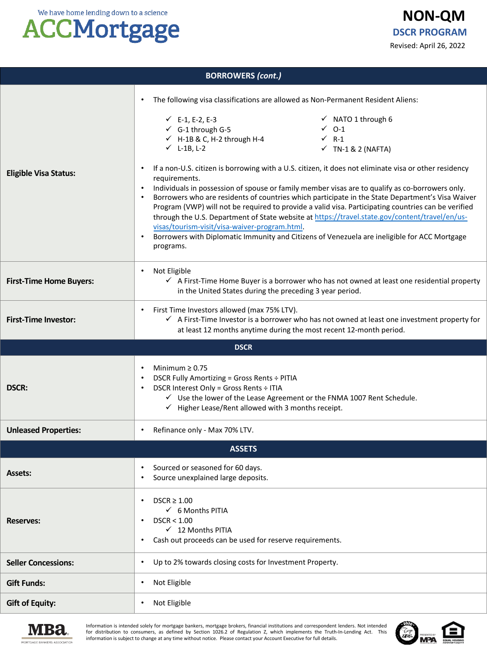# **ACCMortgage**

|                                |                                                                                                                                                                                                                                 | Revised: April 26, 2022                                                                                                                                                                                                                                                                                                                                                                                                                                                                                                                                                                                                                                                                                                                                                                                             |  |  |  |
|--------------------------------|---------------------------------------------------------------------------------------------------------------------------------------------------------------------------------------------------------------------------------|---------------------------------------------------------------------------------------------------------------------------------------------------------------------------------------------------------------------------------------------------------------------------------------------------------------------------------------------------------------------------------------------------------------------------------------------------------------------------------------------------------------------------------------------------------------------------------------------------------------------------------------------------------------------------------------------------------------------------------------------------------------------------------------------------------------------|--|--|--|
|                                | <b>BORROWERS (cont.)</b>                                                                                                                                                                                                        |                                                                                                                                                                                                                                                                                                                                                                                                                                                                                                                                                                                                                                                                                                                                                                                                                     |  |  |  |
| <b>Eligible Visa Status:</b>   | ٠<br>$\checkmark$ E-1, E-2, E-3<br>$\checkmark$ G-1 through G-5<br>$\checkmark$ H-1B & C, H-2 through H-4<br>$\checkmark$ L-1B, L-2<br>requirements.<br>$\bullet$<br>visas/tourism-visit/visa-waiver-program.html.<br>programs. | The following visa classifications are allowed as Non-Permanent Resident Aliens:<br>$\checkmark$ NATO 1 through 6<br>$\checkmark$ 0-1<br>$\checkmark$ R-1<br>$\checkmark$ TN-1 & 2 (NAFTA)<br>If a non-U.S. citizen is borrowing with a U.S. citizen, it does not eliminate visa or other residency<br>Individuals in possession of spouse or family member visas are to qualify as co-borrowers only.<br>Borrowers who are residents of countries which participate in the State Department's Visa Waiver<br>Program (VWP) will not be required to provide a valid visa. Participating countries can be verified<br>through the U.S. Department of State website at https://travel.state.gov/content/travel/en/us-<br>Borrowers with Diplomatic Immunity and Citizens of Venezuela are ineligible for ACC Mortgage |  |  |  |
| <b>First-Time Home Buyers:</b> | Not Eligible<br>$\checkmark$ A First-Time Home Buyer is a borrower who has not owned at least one residential property<br>in the United States during the preceding 3 year period.                                              |                                                                                                                                                                                                                                                                                                                                                                                                                                                                                                                                                                                                                                                                                                                                                                                                                     |  |  |  |
| <b>First-Time Investor:</b>    | First Time Investors allowed (max 75% LTV).<br>$\checkmark$ A First-Time Investor is a borrower who has not owned at least one investment property for<br>at least 12 months anytime during the most recent 12-month period.    |                                                                                                                                                                                                                                                                                                                                                                                                                                                                                                                                                                                                                                                                                                                                                                                                                     |  |  |  |
| <b>DSCR</b>                    |                                                                                                                                                                                                                                 |                                                                                                                                                                                                                                                                                                                                                                                                                                                                                                                                                                                                                                                                                                                                                                                                                     |  |  |  |
| <b>DSCR:</b>                   | Minimum $\geq 0.75$<br>٠<br>DSCR Fully Amortizing = Gross Rents ÷ PITIA<br>DSCR Interest Only = Gross Rents ÷ ITIA                                                                                                              | √ Use the lower of the Lease Agreement or the FNMA 1007 Rent Schedule.<br>$\checkmark$ Higher Lease/Rent allowed with 3 months receipt.                                                                                                                                                                                                                                                                                                                                                                                                                                                                                                                                                                                                                                                                             |  |  |  |
| <b>Unleased Properties:</b>    | Refinance only - Max 70% LTV.                                                                                                                                                                                                   |                                                                                                                                                                                                                                                                                                                                                                                                                                                                                                                                                                                                                                                                                                                                                                                                                     |  |  |  |
| <b>ASSETS</b>                  |                                                                                                                                                                                                                                 |                                                                                                                                                                                                                                                                                                                                                                                                                                                                                                                                                                                                                                                                                                                                                                                                                     |  |  |  |
| <b>Assets:</b>                 | Sourced or seasoned for 60 days.<br>Source unexplained large deposits.<br>$\bullet$                                                                                                                                             |                                                                                                                                                                                                                                                                                                                                                                                                                                                                                                                                                                                                                                                                                                                                                                                                                     |  |  |  |
| <b>Reserves:</b>               | $DSCR \geq 1.00$<br>٠<br>$\checkmark$ 6 Months PITIA<br>DSCR < 1.00<br>٠<br>$\checkmark$ 12 Months PITIA<br>Cash out proceeds can be used for reserve requirements.<br>٠                                                        |                                                                                                                                                                                                                                                                                                                                                                                                                                                                                                                                                                                                                                                                                                                                                                                                                     |  |  |  |
|                                |                                                                                                                                                                                                                                 |                                                                                                                                                                                                                                                                                                                                                                                                                                                                                                                                                                                                                                                                                                                                                                                                                     |  |  |  |





Information is intended solely for mortgage bankers, mortgage brokers, financial institutions and correspondent lenders. Not intended for distribution to consumers, as defined by Section 1026.2 of Regulation Z, which implements the Truth-In-Lending Act. This information is subject to change at any time without notice. Please contact your Account Executive for full details.



**NON-QM**

**DSCR PROGRAM**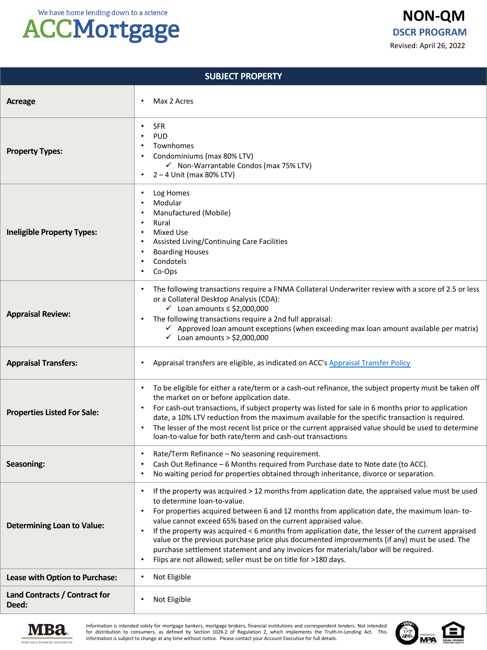## **ACCMortgage**

| <b>SUBJECT PROPERTY</b>                |                                                                                                                                                                                                                                                                                                                                                                                                                                                                                                                                                                                                                                                                                                            |  |  |  |
|----------------------------------------|------------------------------------------------------------------------------------------------------------------------------------------------------------------------------------------------------------------------------------------------------------------------------------------------------------------------------------------------------------------------------------------------------------------------------------------------------------------------------------------------------------------------------------------------------------------------------------------------------------------------------------------------------------------------------------------------------------|--|--|--|
| Acreage                                | Max 2 Acres                                                                                                                                                                                                                                                                                                                                                                                                                                                                                                                                                                                                                                                                                                |  |  |  |
| <b>Property Types:</b>                 | <b>SFR</b><br><b>PUD</b><br>$\bullet$<br>Townhomes<br>Condominiums (max 80% LTV)<br>√ Non-Warrantable Condos (max 75% LTV)<br>$2 - 4$ Unit (max 80% LTV)<br>$\bullet$                                                                                                                                                                                                                                                                                                                                                                                                                                                                                                                                      |  |  |  |
| <b>Ineligible Property Types:</b>      | Log Homes<br>٠<br>Modular<br>Manufactured (Mobile)<br>Rural<br>$\bullet$<br><b>Mixed Use</b><br>$\bullet$<br>Assisted Living/Continuing Care Facilities<br>$\bullet$<br><b>Boarding Houses</b><br>Condotels<br>Co-Ops<br>$\bullet$                                                                                                                                                                                                                                                                                                                                                                                                                                                                         |  |  |  |
| <b>Appraisal Review:</b>               | The following transactions require a FNMA Collateral Underwriter review with a score of 2.5 or less<br>or a Collateral Desktop Analysis (CDA):<br>$\checkmark$ Loan amounts $\leq$ \$2,000,000<br>The following transactions require a 2nd full appraisal:<br>$\checkmark$ Approved loan amount exceptions (when exceeding max loan amount available per matrix)<br>$\checkmark$ Loan amounts > \$2,000,000                                                                                                                                                                                                                                                                                                |  |  |  |
| <b>Appraisal Transfers:</b>            | Appraisal transfers are eligible, as indicated on ACC's Appraisal Transfer Policy                                                                                                                                                                                                                                                                                                                                                                                                                                                                                                                                                                                                                          |  |  |  |
| <b>Properties Listed For Sale:</b>     | To be eligible for either a rate/term or a cash-out refinance, the subject property must be taken off<br>the market on or before application date.<br>For cash-out transactions, if subject property was listed for sale in 6 months prior to application<br>date, a 10% LTV reduction from the maximum available for the specific transaction is required.<br>The lesser of the most recent list price or the current appraised value should be used to determine<br>$\bullet$<br>loan-to-value for both rate/term and cash-out transactions                                                                                                                                                              |  |  |  |
| Seasoning:                             | Rate/Term Refinance - No seasoning requirement.<br>$\bullet$<br>Cash Out Refinance - 6 Months required from Purchase date to Note date (to ACC).<br>No waiting period for properties obtained through inheritance, divorce or separation.                                                                                                                                                                                                                                                                                                                                                                                                                                                                  |  |  |  |
| <b>Determining Loan to Value:</b>      | If the property was acquired > 12 months from application date, the appraised value must be used<br>to determine loan-to-value.<br>For properties acquired between 6 and 12 months from application date, the maximum loan-to-<br>$\bullet$<br>value cannot exceed 65% based on the current appraised value.<br>If the property was acquired $\leq 6$ months from application date, the lesser of the current appraised<br>$\bullet$<br>value or the previous purchase price plus documented improvements (if any) must be used. The<br>purchase settlement statement and any invoices for materials/labor will be required.<br>Flips are not allowed; seller must be on title for >180 days.<br>$\bullet$ |  |  |  |
| Lease with Option to Purchase:         | Not Eligible<br>$\bullet$                                                                                                                                                                                                                                                                                                                                                                                                                                                                                                                                                                                                                                                                                  |  |  |  |
| Land Contracts / Contract for<br>Deed: | Not Eligible                                                                                                                                                                                                                                                                                                                                                                                                                                                                                                                                                                                                                                                                                               |  |  |  |



Information is intended solely for mortgage bankers, mortgage brokers, financial institutions and correspondent lenders. Not intended<br>for distribution to consumers, as defined by Section 1026.2 of Regulation Z, which imple information is subject to change at any time without notice. Please contact your Account Executive for full details.

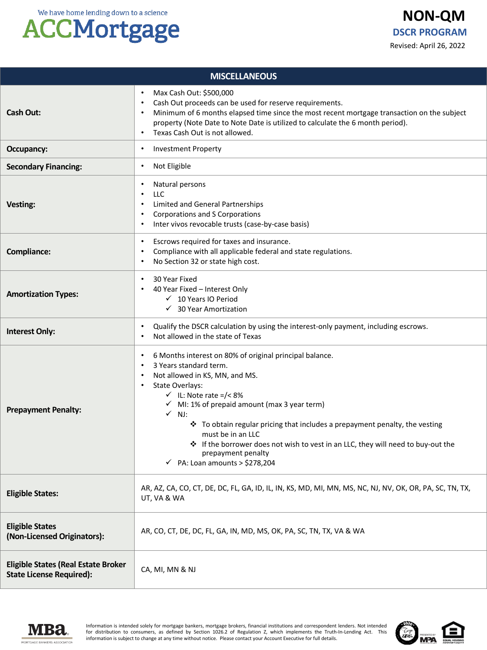## **ACCMortgage**

| <b>MISCELLANEOUS</b>                                                          |                                                                                                                                                                                                                                                                                                                                                                                                                                                                                                                                                           |  |  |
|-------------------------------------------------------------------------------|-----------------------------------------------------------------------------------------------------------------------------------------------------------------------------------------------------------------------------------------------------------------------------------------------------------------------------------------------------------------------------------------------------------------------------------------------------------------------------------------------------------------------------------------------------------|--|--|
| <b>Cash Out:</b>                                                              | Max Cash Out: \$500,000<br>٠<br>Cash Out proceeds can be used for reserve requirements.<br>$\bullet$<br>Minimum of 6 months elapsed time since the most recent mortgage transaction on the subject<br>$\bullet$<br>property (Note Date to Note Date is utilized to calculate the 6 month period).<br>Texas Cash Out is not allowed.<br>$\bullet$                                                                                                                                                                                                          |  |  |
| Occupancy:                                                                    | <b>Investment Property</b><br>$\bullet$                                                                                                                                                                                                                                                                                                                                                                                                                                                                                                                   |  |  |
| <b>Secondary Financing:</b>                                                   | Not Eligible<br>٠                                                                                                                                                                                                                                                                                                                                                                                                                                                                                                                                         |  |  |
| Vesting:                                                                      | Natural persons<br>٠<br><b>LLC</b><br>$\bullet$<br>Limited and General Partnerships<br>$\bullet$<br>Corporations and S Corporations<br>$\bullet$<br>Inter vivos revocable trusts (case-by-case basis)<br>٠                                                                                                                                                                                                                                                                                                                                                |  |  |
| <b>Compliance:</b>                                                            | Escrows required for taxes and insurance.<br>$\bullet$<br>Compliance with all applicable federal and state regulations.<br>٠<br>No Section 32 or state high cost.<br>٠                                                                                                                                                                                                                                                                                                                                                                                    |  |  |
| <b>Amortization Types:</b>                                                    | 30 Year Fixed<br>$\bullet$<br>40 Year Fixed - Interest Only<br>$\checkmark$ 10 Years IO Period<br>$\checkmark$ 30 Year Amortization                                                                                                                                                                                                                                                                                                                                                                                                                       |  |  |
| <b>Interest Only:</b>                                                         | Qualify the DSCR calculation by using the interest-only payment, including escrows.<br>٠<br>Not allowed in the state of Texas<br>$\bullet$                                                                                                                                                                                                                                                                                                                                                                                                                |  |  |
| <b>Prepayment Penalty:</b>                                                    | 6 Months interest on 80% of original principal balance.<br>$\bullet$<br>3 Years standard term.<br>$\bullet$<br>Not allowed in KS, MN, and MS.<br>٠<br>State Overlays:<br>$\bullet$<br>$\checkmark$ IL: Note rate =/< 8%<br>$\checkmark$ MI: 1% of prepaid amount (max 3 year term)<br>$\checkmark$ NJ:<br>* To obtain regular pricing that includes a prepayment penalty, the vesting<br>must be in an LLC<br>❖ If the borrower does not wish to vest in an LLC, they will need to buy-out the<br>prepayment penalty<br>PA: Loan amounts > \$278,204<br>✓ |  |  |
| <b>Eligible States:</b>                                                       | AR, AZ, CA, CO, CT, DE, DC, FL, GA, ID, IL, IN, KS, MD, MI, MN, MS, NC, NJ, NV, OK, OR, PA, SC, TN, TX,<br>UT, VA & WA                                                                                                                                                                                                                                                                                                                                                                                                                                    |  |  |
| <b>Eligible States</b><br>(Non-Licensed Originators):                         | AR, CO, CT, DE, DC, FL, GA, IN, MD, MS, OK, PA, SC, TN, TX, VA & WA                                                                                                                                                                                                                                                                                                                                                                                                                                                                                       |  |  |
| <b>Eligible States (Real Estate Broker</b><br><b>State License Required):</b> | CA, MI, MN & NJ                                                                                                                                                                                                                                                                                                                                                                                                                                                                                                                                           |  |  |